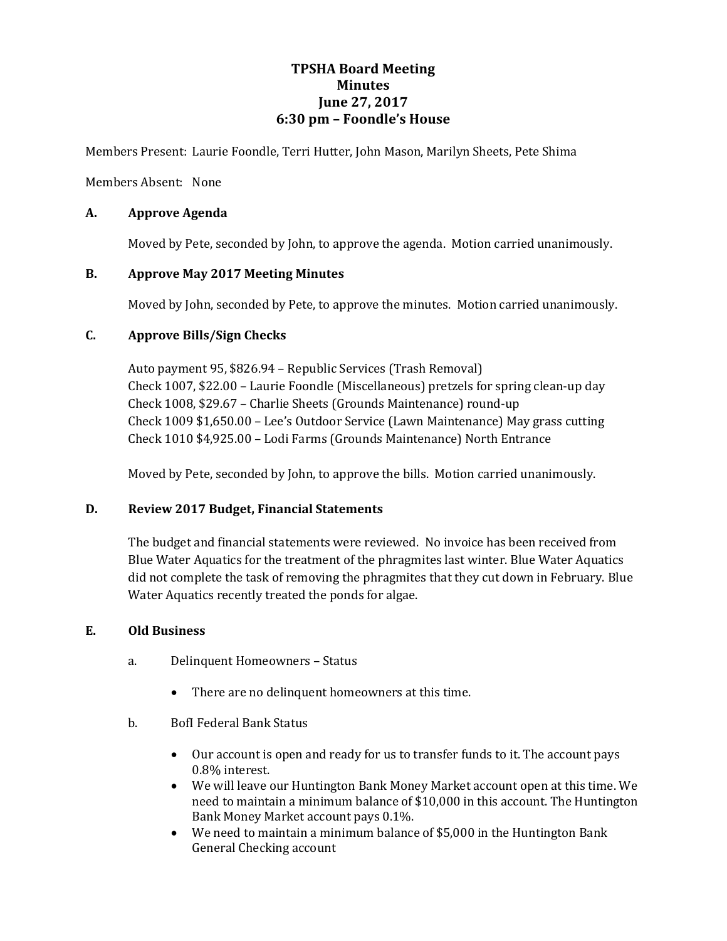## **TPSHA Board Meeting Minutes June 27, 2017 6:30 pm – Foondle's House**

Members Present: Laurie Foondle, Terri Hutter, John Mason, Marilyn Sheets, Pete Shima

Members Absent: None

## **A. Approve Agenda**

Moved by Pete, seconded by John, to approve the agenda. Motion carried unanimously.

## **B. Approve May 2017 Meeting Minutes**

Moved by John, seconded by Pete, to approve the minutes. Motion carried unanimously.

## **C. Approve Bills/Sign Checks**

Auto payment 95, \$826.94 – Republic Services (Trash Removal) Check 1007, \$22.00 – Laurie Foondle (Miscellaneous) pretzels for spring clean-up day Check 1008, \$29.67 – Charlie Sheets (Grounds Maintenance) round-up Check 1009 \$1,650.00 – Lee's Outdoor Service (Lawn Maintenance) May grass cutting Check 1010 \$4,925.00 – Lodi Farms (Grounds Maintenance) North Entrance

Moved by Pete, seconded by John, to approve the bills. Motion carried unanimously.

## **D. Review 2017 Budget, Financial Statements**

The budget and financial statements were reviewed. No invoice has been received from Blue Water Aquatics for the treatment of the phragmites last winter. Blue Water Aquatics did not complete the task of removing the phragmites that they cut down in February. Blue Water Aquatics recently treated the ponds for algae.

#### **E. Old Business**

- a. Delinquent Homeowners Status
	- There are no delinquent homeowners at this time.
- b. BofI Federal Bank Status
	- Our account is open and ready for us to transfer funds to it. The account pays 0.8% interest.
	- We will leave our Huntington Bank Money Market account open at this time. We need to maintain a minimum balance of \$10,000 in this account. The Huntington Bank Money Market account pays 0.1%.
	- We need to maintain a minimum balance of \$5,000 in the Huntington Bank General Checking account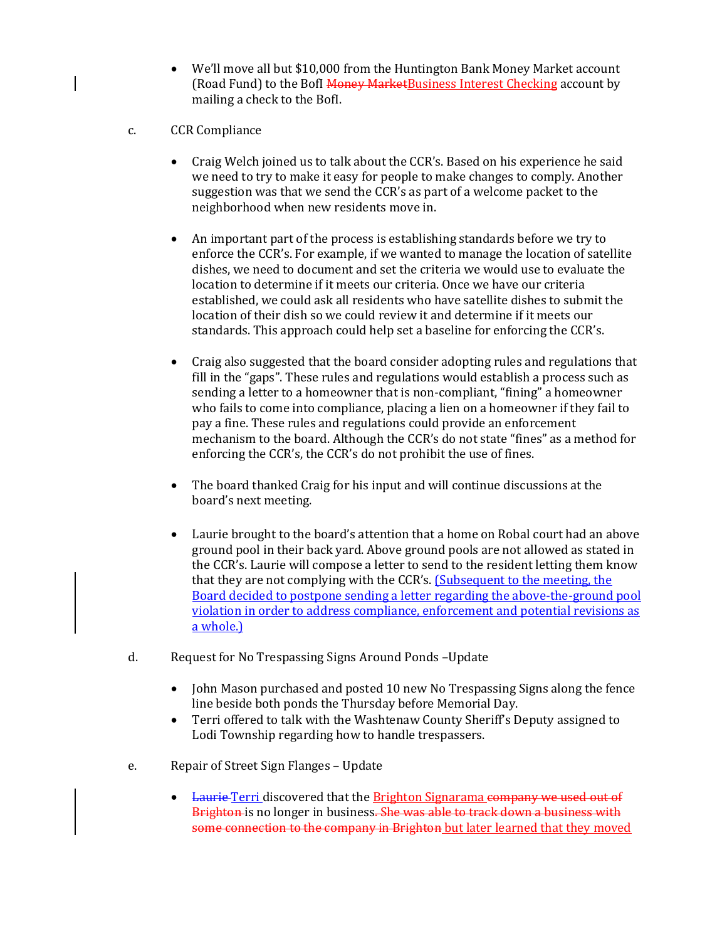- We'll move all but \$10,000 from the Huntington Bank Money Market account (Road Fund) to the BofI Money MarketBusiness Interest Checking account by mailing a check to the BofI.
- c. CCR Compliance
	- Craig Welch joined us to talk about the CCR's. Based on his experience he said we need to try to make it easy for people to make changes to comply. Another suggestion was that we send the CCR's as part of a welcome packet to the neighborhood when new residents move in.
	- An important part of the process is establishing standards before we try to enforce the CCR's. For example, if we wanted to manage the location of satellite dishes, we need to document and set the criteria we would use to evaluate the location to determine if it meets our criteria. Once we have our criteria established, we could ask all residents who have satellite dishes to submit the location of their dish so we could review it and determine if it meets our standards. This approach could help set a baseline for enforcing the CCR's.
	- Craig also suggested that the board consider adopting rules and regulations that fill in the "gaps". These rules and regulations would establish a process such as sending a letter to a homeowner that is non-compliant, "fining" a homeowner who fails to come into compliance, placing a lien on a homeowner if they fail to pay a fine. These rules and regulations could provide an enforcement mechanism to the board. Although the CCR's do not state "fines" as a method for enforcing the CCR's, the CCR's do not prohibit the use of fines.
	- The board thanked Craig for his input and will continue discussions at the board's next meeting.
	- Laurie brought to the board's attention that a home on Robal court had an above ground pool in their back yard. Above ground pools are not allowed as stated in the CCR's. Laurie will compose a letter to send to the resident letting them know that they are not complying with the CCR's. (Subsequent to the meeting, the Board decided to postpone sending a letter regarding the above-the-ground pool violation in order to address compliance, enforcement and potential revisions as a whole.)
- d. Request for No Trespassing Signs Around Ponds –Update
	- John Mason purchased and posted 10 new No Trespassing Signs along the fence line beside both ponds the Thursday before Memorial Day.
	- Terri offered to talk with the Washtenaw County Sheriff's Deputy assigned to Lodi Township regarding how to handle trespassers.
- e. Repair of Street Sign Flanges Update
	- Laurie Terri discovered that the Brighton Signarama company we used out of Brighton is no longer in business. She was able to track down a business with some connection to the company in Brighton but later learned that they moved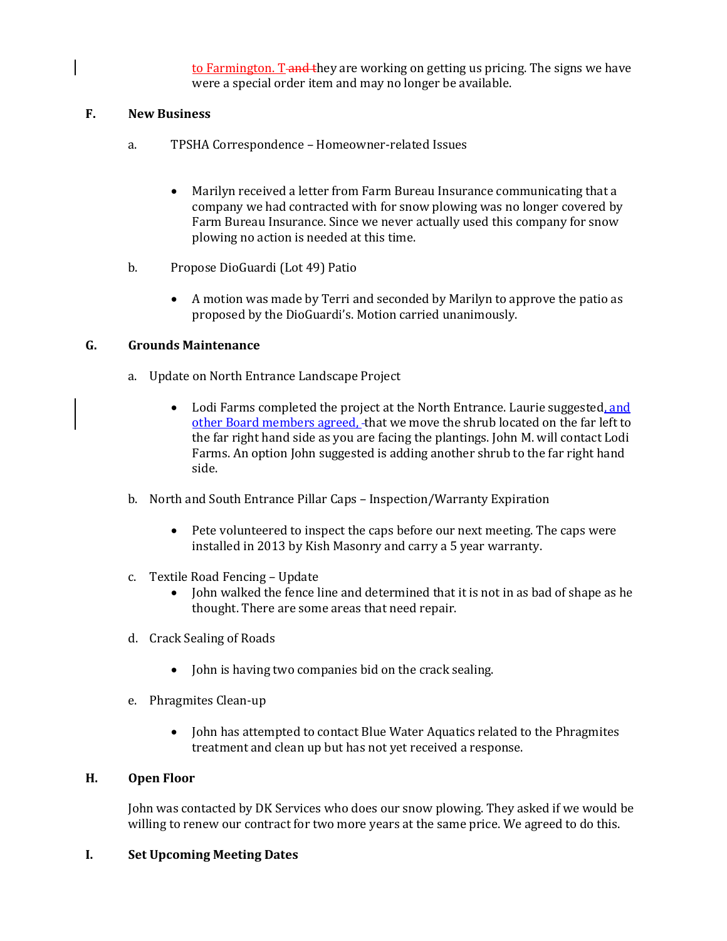to Farmington. T-and they are working on getting us pricing. The signs we have were a special order item and may no longer be available.

## **F. New Business**

- a. TPSHA Correspondence Homeowner-related Issues
	- Marilyn received a letter from Farm Bureau Insurance communicating that a company we had contracted with for snow plowing was no longer covered by Farm Bureau Insurance. Since we never actually used this company for snow plowing no action is needed at this time.
- b. Propose DioGuardi (Lot 49) Patio
	- A motion was made by Terri and seconded by Marilyn to approve the patio as proposed by the DioGuardi's. Motion carried unanimously.

## **G. Grounds Maintenance**

- a. Update on North Entrance Landscape Project
	- Lodi Farms completed the project at the North Entrance. Laurie suggested, and other Board members agreed, that we move the shrub located on the far left to the far right hand side as you are facing the plantings. John M. will contact Lodi Farms. An option John suggested is adding another shrub to the far right hand side.
- b. North and South Entrance Pillar Caps Inspection/Warranty Expiration
	- Pete volunteered to inspect the caps before our next meeting. The caps were installed in 2013 by Kish Masonry and carry a 5 year warranty.
- c. Textile Road Fencing Update
	- John walked the fence line and determined that it is not in as bad of shape as he thought. There are some areas that need repair.
- d. Crack Sealing of Roads
	- John is having two companies bid on the crack sealing.
- e. Phragmites Clean-up
	- John has attempted to contact Blue Water Aquatics related to the Phragmites treatment and clean up but has not yet received a response.

### **H. Open Floor**

John was contacted by DK Services who does our snow plowing. They asked if we would be willing to renew our contract for two more years at the same price. We agreed to do this.

#### **I. Set Upcoming Meeting Dates**